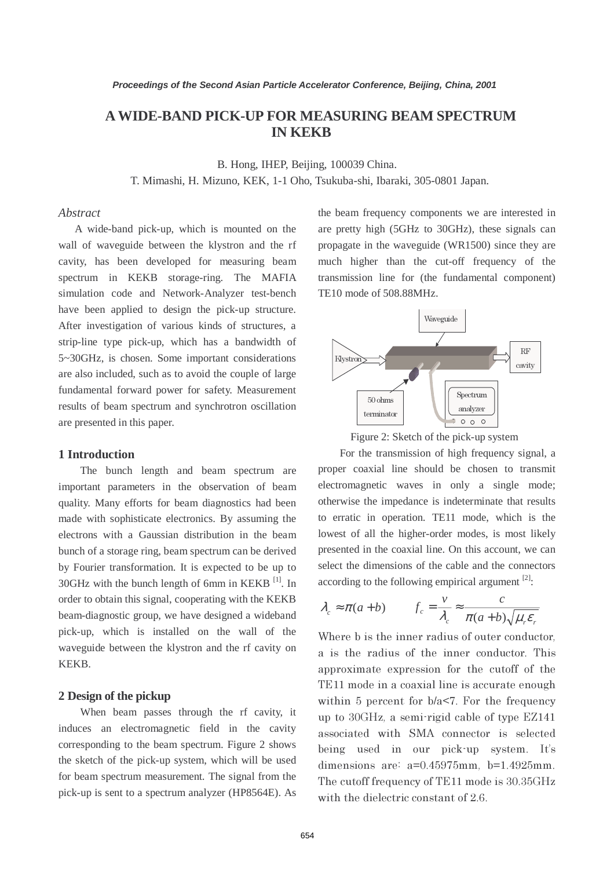# **AWIDE-BAND PICK-UP FOR MEASURING BEAM SPECTRUM IN KEKB**

B. Hong, IHEP, Beijing, 100039 China.

T. Mimashi, H. Mizuno, KEK, 1-1 Oho, Tsukuba-shi, Ibaraki, 305-0801 Japan.

## *Abstract*

 A wide-band pick-up, which is mounted on the wall of waveguide between the klystron and the rf cavity, has been developed for measuring beam spectrum in KEKB storage-ring. The MAFIA simulation code and Network-Analyzer test-bench have been applied to design the pick-up structure. After investigation of various kinds of structures, a strip-line type pick-up, which has a bandwidth of 5~30GHz, is chosen. Some important considerations are also included, such as to avoid the couple of large fundamental forward power for safety. Measurement results of beam spectrum and synchrotron oscillation are presented in this paper.

## **1 Introduction**

The bunch length and beam spectrum are important parameters in the observation of beam quality. Many efforts for beam diagnostics had been made with sophisticate electronics. By assuming the electrons with a Gaussian distribution in the beam bunch of a storage ring, beam spectrum can be derived by Fourier transformation. It is expected to be up to  $30$ GHz with the bunch length of 6mm in KEKB  $^{[1]}$ . In order to obtain this signal, cooperating with the KEKB beam-diagnostic group, we have designed a wideband pick-up, which is installed on the wall of the waveguide between the klystron and the rf cavity on KEKB.

#### **2 Design of the pickup**

When beam passes through the rf cavity, it induces an electromagnetic field in the cavity corresponding to the beam spectrum. Figure 2 shows the sketch of the pick-up system, which will be used for beam spectrum measurement. The signal from the pick-up is sent to a spectrum analyzer (HP8564E). As

the beam frequency components we are interested in are pretty high (5GHz to 30GHz), these signals can propagate in the waveguide (WR1500) since they are much higher than the cut-off frequency of the transmission line for (the fundamental component) TE10 mode of 508.88MHz.



Figure 2: Sketch of the pick-up system

For the transmission of high frequency signal, a proper coaxial line should be chosen to transmit electromagnetic waves in only a single mode; otherwise the impedance is indeterminate that results to erratic in operation. TE11 mode, which is the lowest of all the higher-order modes, is most likely presented in the coaxial line. On this account, we can select the dimensions of the cable and the connectors according to the following empirical argument  $[2]$ :

$$
\lambda_c \approx \pi(a+b)
$$
  $f_c = \frac{v}{\lambda_c} \approx \frac{c}{\pi(a+b)\sqrt{\mu_r \varepsilon_r}}$ 

Where b is the inner radius of outer conductor, a is the radius of the inner conductor. This approximate expression for the cutoff of the TE11 mode in a coaxial line is accurate enough within 5 percent for  $b/a < 7$ . For the frequency up to 30GHz, a semi-rigid cable of type EZ141 associated with SMA connector is selected being used in our pick-up system. It's dimensions are: a=0.45975mm, b=1.4925mm. The cutoff frequency of TE11 mode is 30.35GHz with the dielectric constant of 2.6.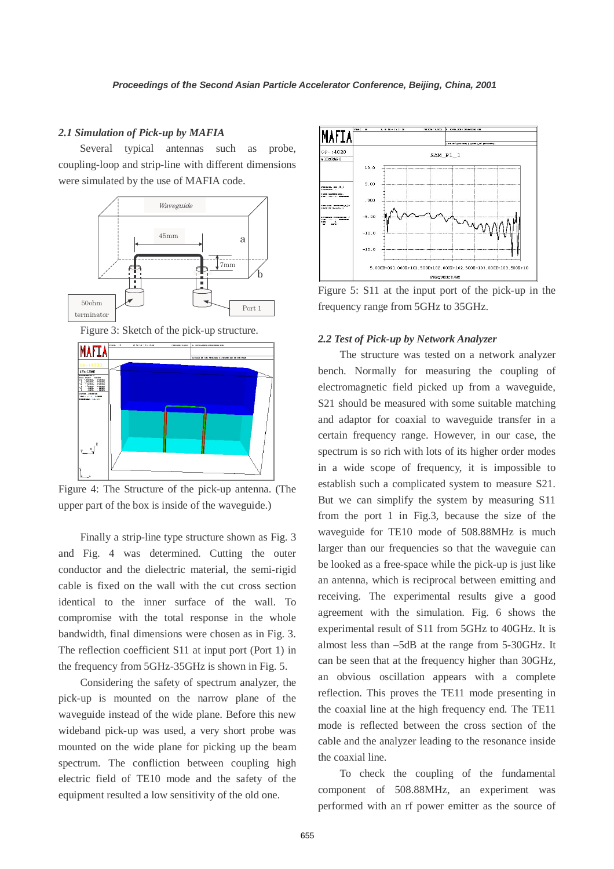#### *2.1 Simulation of Pick-up by MAFIA*

Several typical antennas such as probe, coupling-loop and strip-line with different dimensions were simulated by the use of MAFIA code.



Figure 3: Sketch of the pick-up structure.



Figure 4: The Structure of the pick-up antenna. (The upper part of the box is inside of the waveguide.)

Finally a strip-line type structure shown as Fig. 3 and Fig. 4 was determined. Cutting the outer conductor and the dielectric material, the semi-rigid cable is fixed on the wall with the cut cross section identical to the inner surface of the wall. To compromise with the total response in the whole bandwidth, final dimensions were chosen as in Fig. 3. The reflection coefficient S11 at input port (Port 1) in the frequency from 5GHz-35GHz is shown in Fig. 5.

Considering the safety of spectrum analyzer, the pick-up is mounted on the narrow plane of the waveguide instead of the wide plane. Before this new wideband pick-up was used, a very short probe was mounted on the wide plane for picking up the beam spectrum. The confliction between coupling high electric field of TE10 mode and the safety of the equipment resulted a low sensitivity of the old one.



Figure 5: S11 at the input port of the pick-up in the frequency range from 5GHz to 35GHz.

#### *2.2 Test of Pick-up by Network Analyzer*

The structure was tested on a network analyzer bench. Normally for measuring the coupling of electromagnetic field picked up from a waveguide, S21 should be measured with some suitable matching and adaptor for coaxial to waveguide transfer in a certain frequency range. However, in our case, the spectrum is so rich with lots of its higher order modes in a wide scope of frequency, it is impossible to establish such a complicated system to measure S21. But we can simplify the system by measuring S11 from the port 1 in Fig.3, because the size of the waveguide for TE10 mode of 508.88MHz is much larger than our frequencies so that the waveguie can be looked as a free-space while the pick-up is just like an antenna, which is reciprocal between emitting and receiving. The experimental results give a good agreement with the simulation. Fig. 6 shows the experimental result of S11 from 5GHz to 40GHz. It is almost less than –5dB at the range from 5-30GHz. It can be seen that at the frequency higher than 30GHz, an obvious oscillation appears with a complete reflection. This proves the TE11 mode presenting in the coaxial line at the high frequency end. The TE11 mode is reflected between the cross section of the cable and the analyzer leading to the resonance inside the coaxial line.

To check the coupling of the fundamental component of 508.88MHz, an experiment was performed with an rf power emitter as the source of